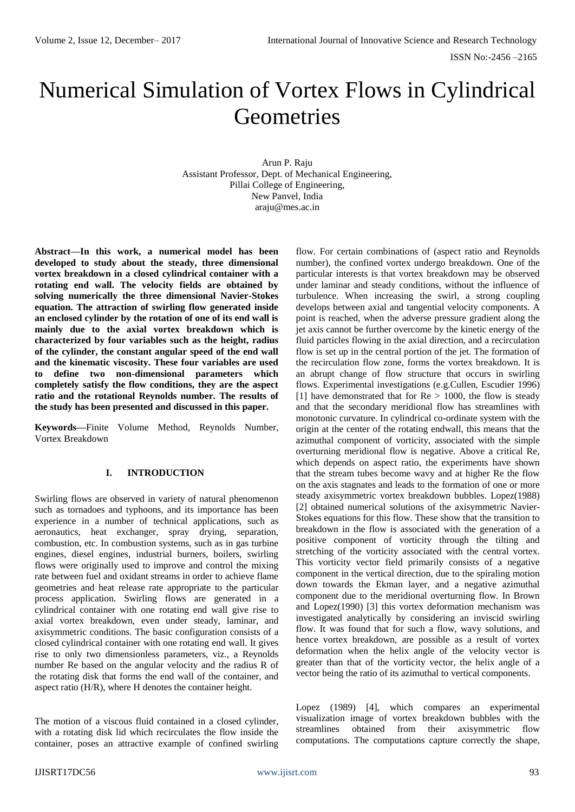# Numerical Simulation of Vortex Flows in Cylindrical **Geometries**

Arun P. Raju Assistant Professor*,* Dept. of Mechanical Engineering, Pillai College of Engineering, New Panvel, India araju@mes.ac.in

**Abstract—In this work, a numerical model has been developed to study about the steady, three dimensional vortex breakdown in a closed cylindrical container with a rotating end wall. The velocity fields are obtained by solving numerically the three dimensional Navier-Stokes equation. The attraction of swirling flow generated inside an enclosed cylinder by the rotation of one of its end wall is mainly due to the axial vortex breakdown which is characterized by four variables such as the height, radius of the cylinder, the constant angular speed of the end wall and the kinematic viscosity. These four variables are used to define two non-dimensional parameters which completely satisfy the flow conditions, they are the aspect ratio and the rotational Reynolds number. The results of the study has been presented and discussed in this paper.**

**Keywords—**Finite Volume Method, Reynolds Number, Vortex Breakdown

## **I. INTRODUCTION**

Swirling flows are observed in variety of natural phenomenon such as tornadoes and typhoons, and its importance has been experience in a number of technical applications, such as aeronautics, heat exchanger, spray drying, separation, combustion, etc. In combustion systems, such as in gas turbine engines, diesel engines, industrial burners, boilers, swirling flows were originally used to improve and control the mixing rate between fuel and oxidant streams in order to achieve flame geometries and heat release rate appropriate to the particular process application. Swirling flows are generated in a cylindrical container with one rotating end wall give rise to axial vortex breakdown, even under steady, laminar, and axisymmetric conditions. The basic configuration consists of a closed cylindrical container with one rotating end wall. It gives rise to only two dimensionless parameters, viz., a Reynolds number Re based on the angular velocity and the radius R of the rotating disk that forms the end wall of the container, and aspect ratio (H/R), where H denotes the container height.

The motion of a viscous fluid contained in a closed cylinder, with a rotating disk lid which recirculates the flow inside the container, poses an attractive example of confined swirling

flow. For certain combinations of (aspect ratio and Reynolds number), the confined vortex undergo breakdown. One of the particular interests is that vortex breakdown may be observed under laminar and steady conditions, without the influence of turbulence. When increasing the swirl, a strong coupling develops between axial and tangential velocity components. A point is reached, when the adverse pressure gradient along the jet axis cannot be further overcome by the kinetic energy of the fluid particles flowing in the axial direction, and a recirculation flow is set up in the central portion of the jet. The formation of the recirculation flow zone, forms the vortex breakdown. It is an abrupt change of flow structure that occurs in swirling flows. Experimental investigations (e.g.Cullen, Escudier 1996) [1] have demonstrated that for  $Re > 1000$ , the flow is steady and that the secondary meridional flow has streamlines with monotonic curvature. In cylindrical co-ordinate system with the origin at the center of the rotating endwall, this means that the azimuthal component of vorticity, associated with the simple overturning meridional flow is negative. Above a critical Re, which depends on aspect ratio, the experiments have shown that the stream tubes become wavy and at higher Re the flow on the axis stagnates and leads to the formation of one or more steady axisymmetric vortex breakdown bubbles. Lopez(1988) [2] obtained numerical solutions of the axisymmetric Navier-Stokes equations for this flow. These show that the transition to breakdown in the flow is associated with the generation of a positive component of vorticity through the tilting and stretching of the vorticity associated with the central vortex. This vorticity vector field primarily consists of a negative component in the vertical direction, due to the spiraling motion down towards the Ekman layer, and a negative azimuthal component due to the meridional overturning flow. In Brown and Lopez(1990) [3] this vortex deformation mechanism was investigated analytically by considering an inviscid swirling flow. It was found that for such a flow, wavy solutions, and hence vortex breakdown, are possible as a result of vortex deformation when the helix angle of the velocity vector is greater than that of the vorticity vector, the helix angle of a vector being the ratio of its azimuthal to vertical components.

Lopez (1989) [4], which compares an experimental visualization image of vortex breakdown bubbles with the streamlines obtained from their axisymmetric flow computations. The computations capture correctly the shape,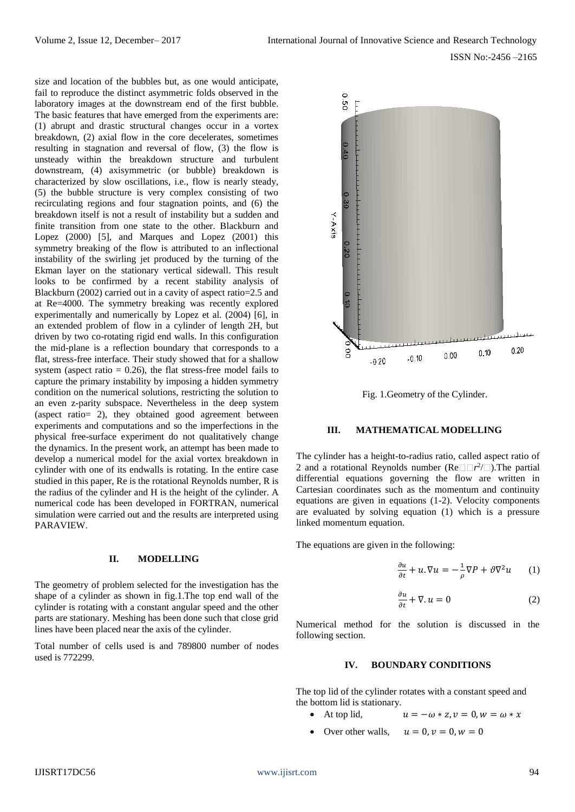size and location of the bubbles but, as one would anticipate, fail to reproduce the distinct asymmetric folds observed in the laboratory images at the downstream end of the first bubble. The basic features that have emerged from the experiments are: (1) abrupt and drastic structural changes occur in a vortex breakdown, (2) axial flow in the core decelerates, sometimes resulting in stagnation and reversal of flow, (3) the flow is unsteady within the breakdown structure and turbulent downstream, (4) axisymmetric (or bubble) breakdown is characterized by slow oscillations, i.e., flow is nearly steady, (5) the bubble structure is very complex consisting of two recirculating regions and four stagnation points, and (6) the breakdown itself is not a result of instability but a sudden and finite transition from one state to the other. Blackburn and Lopez (2000) [5], and Marques and Lopez (2001) this symmetry breaking of the flow is attributed to an inflectional instability of the swirling jet produced by the turning of the Ekman layer on the stationary vertical sidewall. This result looks to be confirmed by a recent stability analysis of Blackburn (2002) carried out in a cavity of aspect ratio=2.5 and at Re=4000. The symmetry breaking was recently explored experimentally and numerically by Lopez et al. (2004) [6], in an extended problem of flow in a cylinder of length 2H, but driven by two co-rotating rigid end walls. In this configuration the mid-plane is a reflection boundary that corresponds to a flat, stress-free interface. Their study showed that for a shallow system (aspect ratio  $= 0.26$ ), the flat stress-free model fails to capture the primary instability by imposing a hidden symmetry condition on the numerical solutions, restricting the solution to an even z-parity subspace. Nevertheless in the deep system (aspect ratio= 2), they obtained good agreement between experiments and computations and so the imperfections in the physical free-surface experiment do not qualitatively change the dynamics. In the present work, an attempt has been made to develop a numerical model for the axial vortex breakdown in cylinder with one of its endwalls is rotating. In the entire case studied in this paper, Re is the rotational Reynolds number, R is the radius of the cylinder and H is the height of the cylinder. A numerical code has been developed in FORTRAN, numerical simulation were carried out and the results are interpreted using PARAVIEW.

### **II. MODELLING**

The geometry of problem selected for the investigation has the shape of a cylinder as shown in fig.1.The top end wall of the cylinder is rotating with a constant angular speed and the other parts are stationary. Meshing has been done such that close grid lines have been placed near the axis of the cylinder.

Total number of cells used is and 789800 number of nodes used is 772299.



Fig. 1.Geometry of the Cylinder.

#### **III. MATHEMATICAL MODELLING**

The cylinder has a height-to-radius ratio, called aspect ratio of 2 and a rotational Reynolds number ( $\text{Re} \Box \Box r^2 / \Box$ ). The partial differential equations governing the flow are written in Cartesian coordinates such as the momentum and continuity equations are given in equations (1-2). Velocity components are evaluated by solving equation (1) which is a pressure linked momentum equation.

The equations are given in the following:

$$
\frac{\partial u}{\partial t} + u \cdot \nabla u = -\frac{1}{\rho} \nabla P + \vartheta \nabla^2 u \qquad (1)
$$

$$
\frac{\partial u}{\partial t} + \nabla \cdot u = 0 \tag{2}
$$

Numerical method for the solution is discussed in the following section.

#### **IV. BOUNDARY CONDITIONS**

The top lid of the cylinder rotates with a constant speed and the bottom lid is stationary.

- At top lid,  $u = -\omega * z$ ,  $v = 0$ ,  $w = \omega * x$
- Over other walls,  $u = 0, v = 0, w = 0$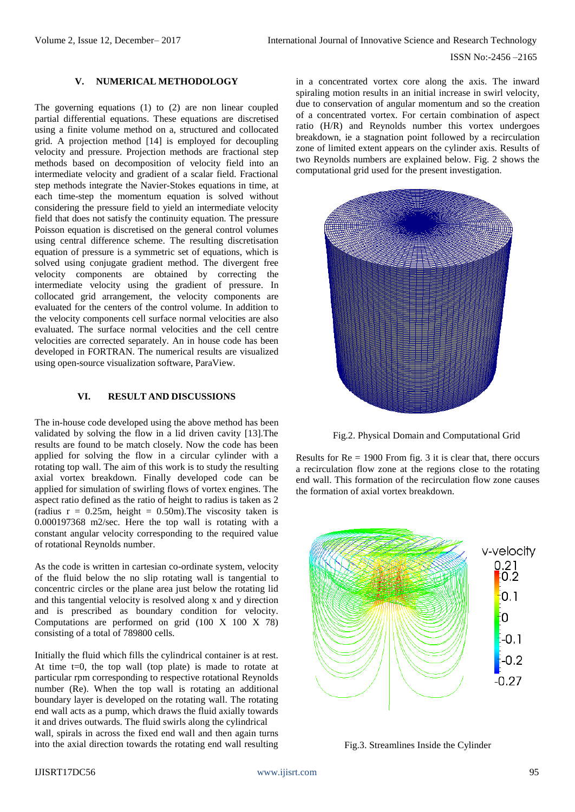## **V. NUMERICAL METHODOLOGY**

The governing equations (1) to (2) are non linear coupled partial differential equations. These equations are discretised using a finite volume method on a, structured and collocated grid. A projection method [14] is employed for decoupling velocity and pressure. Projection methods are fractional step methods based on decomposition of velocity field into an intermediate velocity and gradient of a scalar field. Fractional step methods integrate the Navier-Stokes equations in time, at each time-step the momentum equation is solved without considering the pressure field to yield an intermediate velocity field that does not satisfy the continuity equation. The pressure Poisson equation is discretised on the general control volumes using central difference scheme. The resulting discretisation equation of pressure is a symmetric set of equations, which is solved using conjugate gradient method. The divergent free velocity components are obtained by correcting the intermediate velocity using the gradient of pressure. In collocated grid arrangement, the velocity components are evaluated for the centers of the control volume. In addition to the velocity components cell surface normal velocities are also evaluated. The surface normal velocities and the cell centre velocities are corrected separately. An in house code has been developed in FORTRAN. The numerical results are visualized using open-source visualization software, ParaView.

## **VI. RESULT AND DISCUSSIONS**

The in-house code developed using the above method has been validated by solving the flow in a lid driven cavity [13].The results are found to be match closely. Now the code has been applied for solving the flow in a circular cylinder with a rotating top wall. The aim of this work is to study the resulting axial vortex breakdown. Finally developed code can be applied for simulation of swirling flows of vortex engines. The aspect ratio defined as the ratio of height to radius is taken as 2 (radius  $r = 0.25m$ , height = 0.50m). The viscosity taken is 0.000197368 m2/sec. Here the top wall is rotating with a constant angular velocity corresponding to the required value of rotational Reynolds number.

As the code is written in cartesian co-ordinate system, velocity of the fluid below the no slip rotating wall is tangential to concentric circles or the plane area just below the rotating lid and this tangential velocity is resolved along x and y direction and is prescribed as boundary condition for velocity. Computations are performed on grid (100 X 100 X 78) consisting of a total of 789800 cells.

Initially the fluid which fills the cylindrical container is at rest. At time t=0, the top wall (top plate) is made to rotate at particular rpm corresponding to respective rotational Reynolds number (Re). When the top wall is rotating an additional boundary layer is developed on the rotating wall. The rotating end wall acts as a pump, which draws the fluid axially towards it and drives outwards. The fluid swirls along the cylindrical wall, spirals in across the fixed end wall and then again turns into the axial direction towards the rotating end wall resulting

in a concentrated vortex core along the axis. The inward spiraling motion results in an initial increase in swirl velocity, due to conservation of angular momentum and so the creation of a concentrated vortex. For certain combination of aspect ratio (H/R) and Reynolds number this vortex undergoes breakdown, ie a stagnation point followed by a recirculation zone of limited extent appears on the cylinder axis. Results of two Reynolds numbers are explained below. Fig. 2 shows the computational grid used for the present investigation.



Fig.2. Physical Domain and Computational Grid

Results for  $Re = 1900$  From fig. 3 it is clear that, there occurs a recirculation flow zone at the regions close to the rotating end wall. This formation of the recirculation flow zone causes the formation of axial vortex breakdown.



Fig.3. Streamlines Inside the Cylinder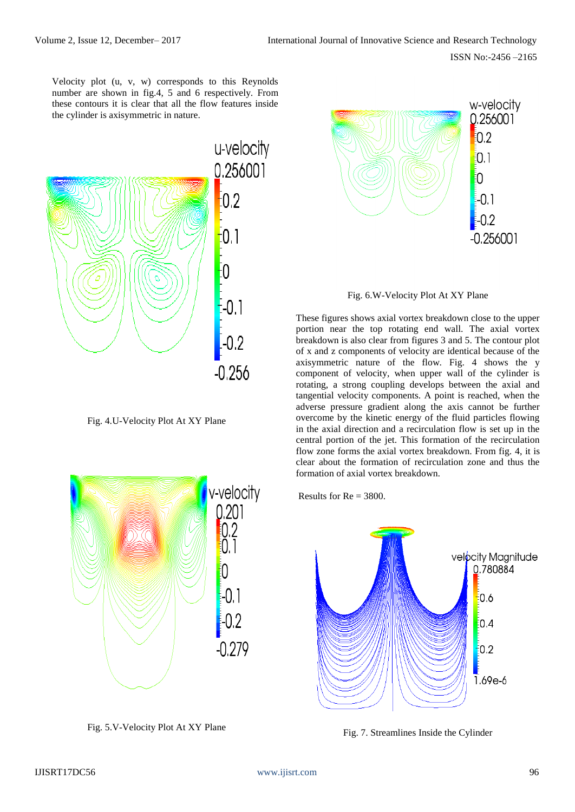Velocity plot (u, v, w) corresponds to this Reynolds number are shown in fig.4, 5 and 6 respectively. From these contours it is clear that all the flow features inside the cylinder is axisymmetric in nature.



Fig. 4.U-Velocity Plot At XY Plane



Fig. 5.V-Velocity Plot At XY Plane



Fig. 6.W-Velocity Plot At XY Plane

These figures shows axial vortex breakdown close to the upper portion near the top rotating end wall. The axial vortex breakdown is also clear from figures 3 and 5. The contour plot of x and z components of velocity are identical because of the axisymmetric nature of the flow. Fig. 4 shows the y component of velocity, when upper wall of the cylinder is rotating, a strong coupling develops between the axial and tangential velocity components. A point is reached, when the adverse pressure gradient along the axis cannot be further overcome by the kinetic energy of the fluid particles flowing in the axial direction and a recirculation flow is set up in the central portion of the jet. This formation of the recirculation flow zone forms the axial vortex breakdown. From fig. 4, it is clear about the formation of recirculation zone and thus the formation of axial vortex breakdown.

Results for  $Re = 3800$ .



Fig. 7. Streamlines Inside the Cylinder